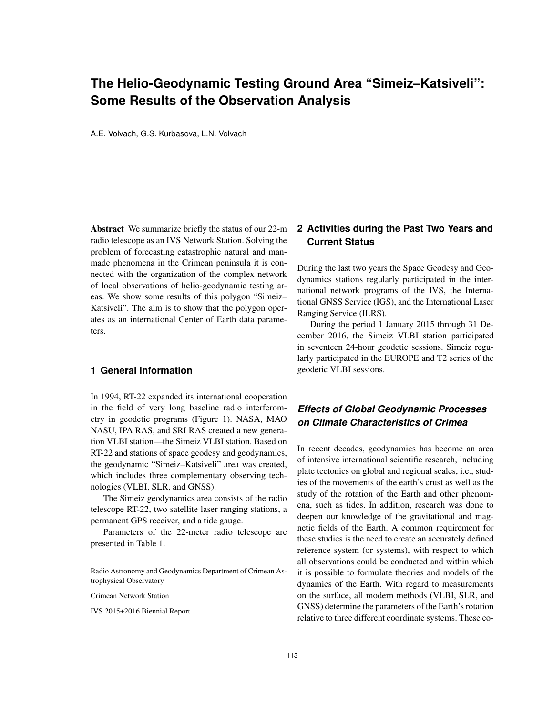# **The Helio-Geodynamic Testing Ground Area "Simeiz–Katsiveli": Some Results of the Observation Analysis**

A.E. Volvach, G.S. Kurbasova, L.N. Volvach

Abstract We summarize briefly the status of our 22-m radio telescope as an IVS Network Station. Solving the problem of forecasting catastrophic natural and manmade phenomena in the Crimean peninsula it is connected with the organization of the complex network of local observations of helio-geodynamic testing areas. We show some results of this polygon "Simeiz– Katsiveli". The aim is to show that the polygon operates as an international Center of Earth data parameters.

### **1 General Information**

In 1994, RT-22 expanded its international cooperation in the field of very long baseline radio interferometry in geodetic programs (Figure 1). NASA, MAO NASU, IPA RAS, and SRI RAS created a new generation VLBI station—the Simeiz VLBI station. Based on RT-22 and stations of space geodesy and geodynamics, the geodynamic "Simeiz–Katsiveli" area was created, which includes three complementary observing technologies (VLBI, SLR, and GNSS).

The Simeiz geodynamics area consists of the radio telescope RT-22, two satellite laser ranging stations, a permanent GPS receiver, and a tide gauge.

Parameters of the 22-meter radio telescope are presented in Table 1.

IVS 2015+2016 Biennial Report

### **2 Activities during the Past Two Years and Current Status**

During the last two years the Space Geodesy and Geodynamics stations regularly participated in the international network programs of the IVS, the International GNSS Service (IGS), and the International Laser Ranging Service (ILRS).

During the period 1 January 2015 through 31 December 2016, the Simeiz VLBI station participated in seventeen 24-hour geodetic sessions. Simeiz regularly participated in the EUROPE and T2 series of the geodetic VLBI sessions.

## *Effects of Global Geodynamic Processes on Climate Characteristics of Crimea*

In recent decades, geodynamics has become an area of intensive international scientific research, including plate tectonics on global and regional scales, i.e., studies of the movements of the earth's crust as well as the study of the rotation of the Earth and other phenomena, such as tides. In addition, research was done to deepen our knowledge of the gravitational and magnetic fields of the Earth. A common requirement for these studies is the need to create an accurately defined reference system (or systems), with respect to which all observations could be conducted and within which it is possible to formulate theories and models of the dynamics of the Earth. With regard to measurements on the surface, all modern methods (VLBI, SLR, and GNSS) determine the parameters of the Earth's rotation relative to three different coordinate systems. These co-

Radio Astronomy and Geodynamics Department of Crimean Astrophysical Observatory

Crimean Network Station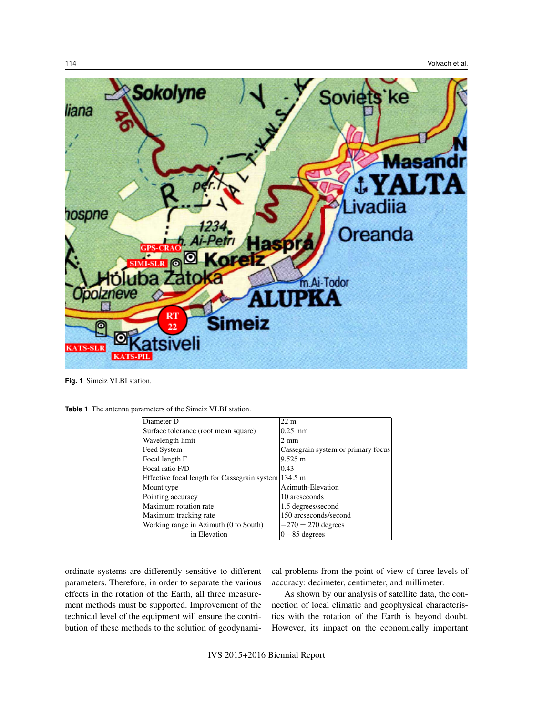

**Fig. 1** Simeiz VLBI station.

**Table 1** The antenna parameters of the Simeiz VLBI station.

| Diameter D                                           | $22 \text{ m}$                     |
|------------------------------------------------------|------------------------------------|
| Surface tolerance (root mean square)                 | $0.25 \text{ mm}$                  |
| Wavelength limit                                     | $2 \text{ mm}$                     |
| Feed System                                          | Cassegrain system or primary focus |
| Focal length F                                       | $9.525 \text{ m}$                  |
| Focal ratio F/D                                      | 10.43                              |
| Effective focal length for Cassegrain system 134.5 m |                                    |
| Mount type                                           | Azimuth-Elevation                  |
| Pointing accuracy                                    | 10 arcseconds                      |
| Maximum rotation rate                                | 1.5 degrees/second                 |
| Maximum tracking rate                                | 150 arcseconds/second              |
| Working range in Azimuth (0 to South)                | $-270 \pm 270$ degrees             |
| in Elevation                                         | $0 - 85$ degrees                   |

ordinate systems are differently sensitive to different parameters. Therefore, in order to separate the various effects in the rotation of the Earth, all three measurement methods must be supported. Improvement of the technical level of the equipment will ensure the contribution of these methods to the solution of geodynamical problems from the point of view of three levels of accuracy: decimeter, centimeter, and millimeter.

As shown by our analysis of satellite data, the connection of local climatic and geophysical characteristics with the rotation of the Earth is beyond doubt. However, its impact on the economically important